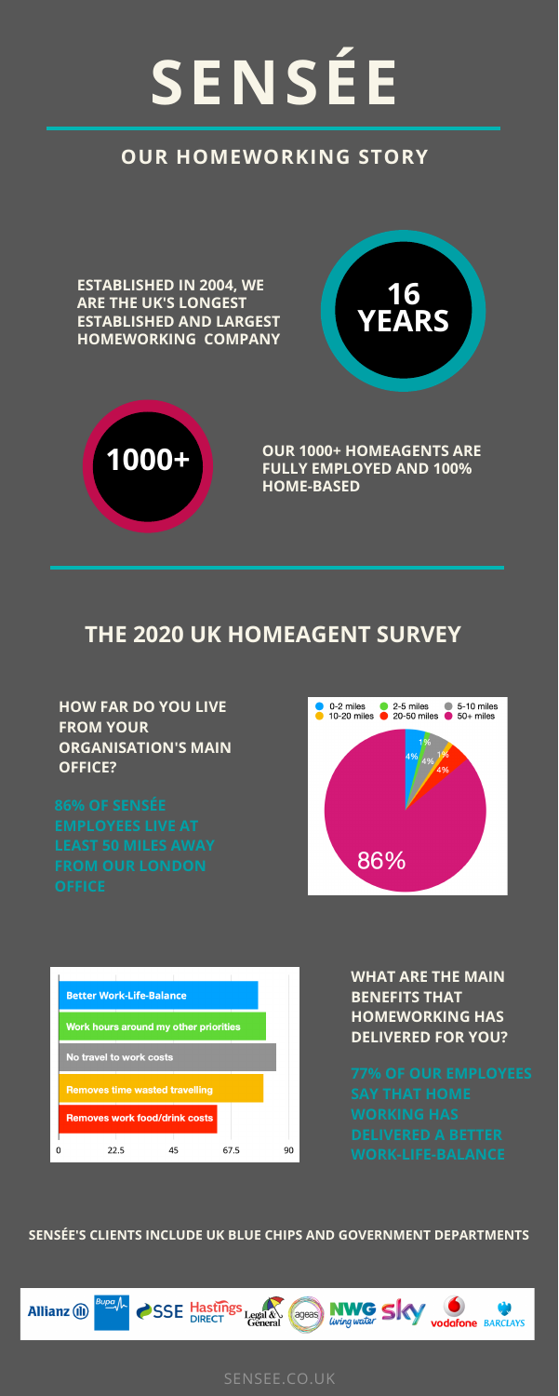# **SENSÉE**

### **OUR HOMEWORKING STORY**

**ESTABLISHED IN 2004, WE ARE THE UK'S LONGEST ESTABLISHED AND LARGEST HOMEWORKING COMPANY**

**WORK-LIFE-BALANCE**

**HOW FAR DO YOU LIVE FROM YOUR ORGANISATION'S MAIN OFFICE?**





**WHAT ARE THE MAIN BENEFITS THAT HOMEWORKING HAS DELIVERED FOR YOU?**

**OUR 1000+ HOMEAGENTS ARE FULLY EMPLOYED AND 100% HOME-BASED**

**SENSÉE'S CLIENTS INCLUDE UK BLUE CHIPS AND GOVERNMENT DEPARTMENTS**







SENSEE.CO.UK

### **THE 2020 UK HOMEAGENT SURVEY**